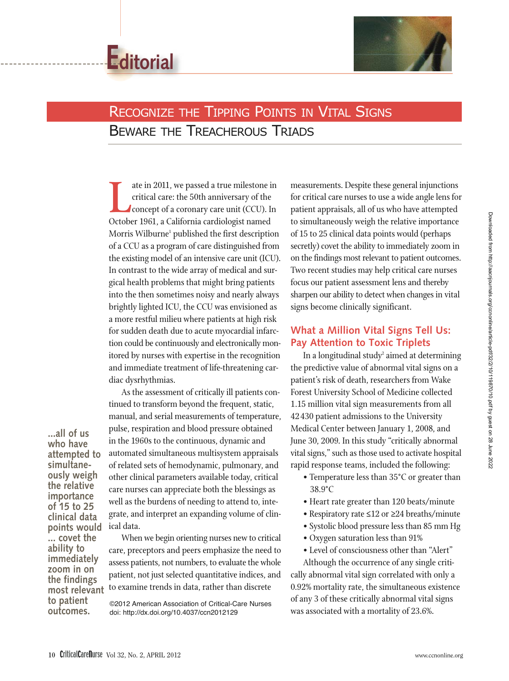



# **RECOGNIZE THE TIPPING POINTS IN VITAL SIGNS** BEWARE THE TREACHEROUS TRIADS

ate in 2011, we passed a true milestone critical care: the 50th anniversary of the concept of a coronary care unit (CCU). I<br>October 1961, a California cardiologist named ate in 2011, we passed a true milestone in critical care: the 50th anniversary of the concept of a coronary care unit (CCU). In Morris Wilburne<sup>1</sup> published the first description of a CCU as a program of care distinguished from the existing model of an intensive care unit (ICU). In contrast to the wide array of medical and surgical health problems that might bring patients into the then sometimes noisy and nearly always brightly lighted ICU, the CCU was envisioned as a more restful milieu where patients at high risk for sudden death due to acute myocardial infarction could be continuously and electronically monitored by nurses with expertise in the recognition and immediate treatment of life-threatening cardiac dysrhythmias.

As the assessment of critically ill patients continued to transform beyond the frequent, static, manual, and serial measurements of temperature, pulse, respiration and blood pressure obtained in the 1960s to the continuous, dynamic and automated simultaneous multisystem appraisals of related sets of hemodynamic, pulmonary, and other clinical parameters available today, critical care nurses can appreciate both the blessings as well as the burdens of needing to attend to, integrate, and interpret an expanding volume of clinical data.

**most relevant** When we begin orienting nurses new to critical care, preceptors and peers emphasize the need to assess patients, not numbers, to evaluate the whole patient, not just selected quantitative indices, and to examine trends in data, rather than discrete

> ©2012 American Association of Critical-Care Nurses doi: http://dx.doi.org/10.4037/ccn2012129

measurements. Despite these general injunctions for critical care nurses to use a wide angle lens for patient appraisals, all of us who have attempted to simultaneously weigh the relative importance of 15 to 25 clinical data points would (perhaps secretly) covet the ability to immediately zoom in on the findings most relevant to patient outcomes. Two recent studies may help critical care nurses focus our patient assessment lens and thereby sharpen our ability to detect when changes in vital signs become clinically significant.

#### **What a Million Vital Signs Tell Us: Pay Attention to Toxic Triplets**

In a longitudinal study<sup>2</sup> aimed at determining the predictive value of abnormal vital signs on a patient's risk of death, researchers from Wake Forest University School of Medicine collected 1.15 million vital sign measurements from all 42 430 patient admissions to the University Medical Center between January 1, 2008, and June 30, 2009. In this study "critically abnormal vital signs," such as those used to activate hospital rapid response teams, included the following:

- Temperature less than 35°C or greater than 38.9°C
- Heart rate greater than 120 beats/minute
- Respiratory rate ≤12 or ≥24 breaths/minute
- Systolic blood pressure less than 85 mm Hg
- Oxygen saturation less than 91%
- Level of consciousness other than "Alert"

Although the occurrence of any single critically abnormal vital sign correlated with only a 0.92% mortality rate, the simultaneous existence of any 3 of these critically abnormal vital signs was associated with a mortality of 23.6%.

**...all of us who have attempted to simultaneously weigh the relative importance of 15 to 25 clinical data points would ... covet the ability to immediately zoom in on the findings**

**to patient outcomes.**